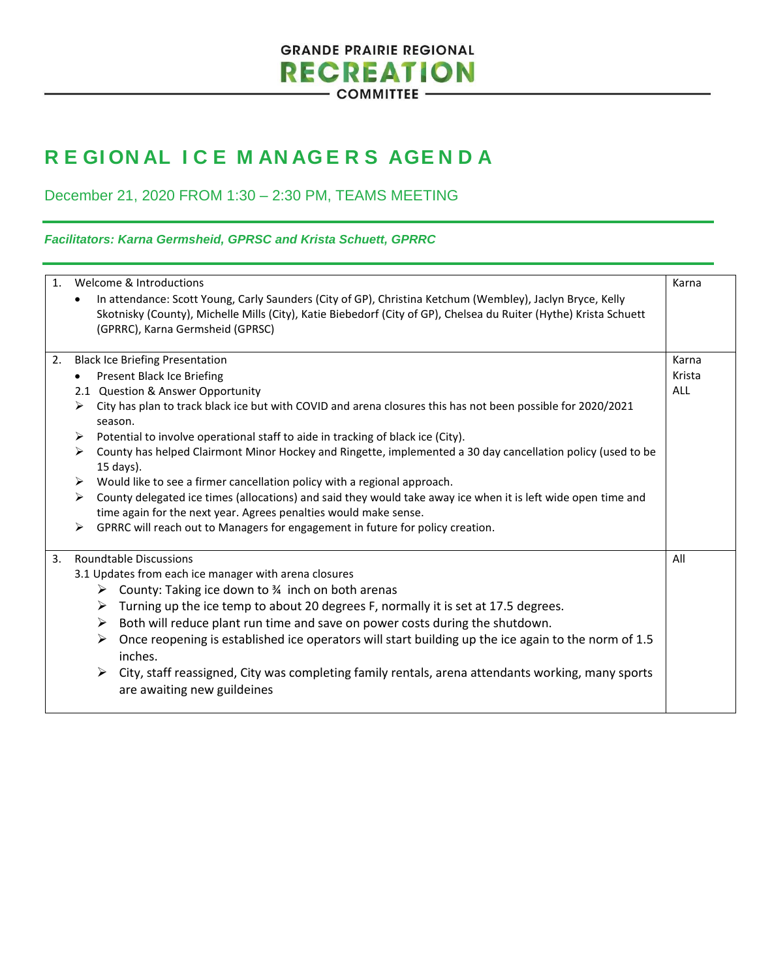## **GRANDE PRAIRIE REGIONAL RECREATION COMMITTEE -**

## **R E GI ON AL I C E M AN AG E R S AGE N D A**

December 21, 2020 FROM 1:30 – 2:30 PM, TEAMS MEETING

## *Facilitators: Karna Germsheid, GPRSC and Krista Schuett, GPRRC*

| 1. | Welcome & Introductions<br>In attendance: Scott Young, Carly Saunders (City of GP), Christina Ketchum (Wembley), Jaclyn Bryce, Kelly<br>$\bullet$<br>Skotnisky (County), Michelle Mills (City), Katie Biebedorf (City of GP), Chelsea du Ruiter (Hythe) Krista Schuett<br>(GPRRC), Karna Germsheid (GPRSC) | Karna  |
|----|------------------------------------------------------------------------------------------------------------------------------------------------------------------------------------------------------------------------------------------------------------------------------------------------------------|--------|
| 2. | <b>Black Ice Briefing Presentation</b>                                                                                                                                                                                                                                                                     | Karna  |
|    | <b>Present Black Ice Briefing</b>                                                                                                                                                                                                                                                                          | Krista |
|    | 2.1 Question & Answer Opportunity                                                                                                                                                                                                                                                                          | ALL    |
|    | City has plan to track black ice but with COVID and arena closures this has not been possible for 2020/2021<br>➤<br>season.                                                                                                                                                                                |        |
|    | Potential to involve operational staff to aide in tracking of black ice (City).<br>➤                                                                                                                                                                                                                       |        |
|    | County has helped Clairmont Minor Hockey and Ringette, implemented a 30 day cancellation policy (used to be<br>➤<br>15 days).                                                                                                                                                                              |        |
|    | Would like to see a firmer cancellation policy with a regional approach.<br>➤                                                                                                                                                                                                                              |        |
|    | County delegated ice times (allocations) and said they would take away ice when it is left wide open time and<br>➤<br>time again for the next year. Agrees penalties would make sense.                                                                                                                     |        |
|    | GPRRC will reach out to Managers for engagement in future for policy creation.<br>➤                                                                                                                                                                                                                        |        |
| 3. | <b>Roundtable Discussions</b>                                                                                                                                                                                                                                                                              | All    |
|    | 3.1 Updates from each ice manager with arena closures                                                                                                                                                                                                                                                      |        |
|    | County: Taking ice down to 34 inch on both arenas<br>➤                                                                                                                                                                                                                                                     |        |
|    | Turning up the ice temp to about 20 degrees F, normally it is set at 17.5 degrees.<br>➤                                                                                                                                                                                                                    |        |
|    | Both will reduce plant run time and save on power costs during the shutdown.<br>➤                                                                                                                                                                                                                          |        |
|    | Once reopening is established ice operators will start building up the ice again to the norm of 1.5<br>➤<br>inches.                                                                                                                                                                                        |        |
|    | City, staff reassigned, City was completing family rentals, arena attendants working, many sports<br>➤<br>are awaiting new guildeines                                                                                                                                                                      |        |